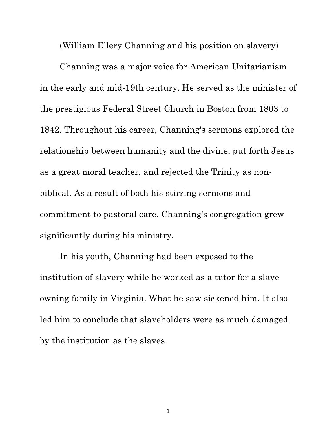(William Ellery Channing and his position on slavery)

Channing was a major voice for American Unitarianism in the early and mid-19th century. He served as the minister of the prestigious Federal Street Church in Boston from 1803 to 1842. Throughout his career, Channing's sermons explored the relationship between humanity and the divine, put forth Jesus as a great moral teacher, and rejected the Trinity as nonbiblical. As a result of both his stirring sermons and commitment to pastoral care, Channing's congregation grew significantly during his ministry.

In his youth, Channing had been exposed to the institution of slavery while he worked as a tutor for a slave owning family in Virginia. What he saw sickened him. It also led him to conclude that slaveholders were as much damaged by the institution as the slaves.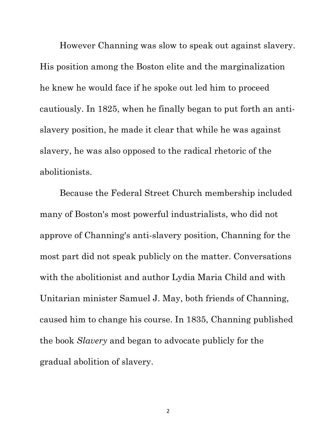However Channing was slow to speak out against slavery. His position among the Boston elite and the marginalization he knew he would face if he spoke out led him to proceed cautiously. In 1825, when he finally began to put forth an antislavery position, he made it clear that while he was against slavery, he was also opposed to the radical rhetoric of the abolitionists.

Because the Federal Street Church membership included many of Boston's most powerful industrialists, who did not approve of Channing's anti-slavery position, Channing for the most part did not speak publicly on the matter. Conversations with the abolitionist and author Lydia Maria Child and with Unitarian minister Samuel J. May, both friends of Channing, caused him to change his course. In 1835, Channing published the book *Slavery* and began to advocate publicly for the gradual abolition of slavery.